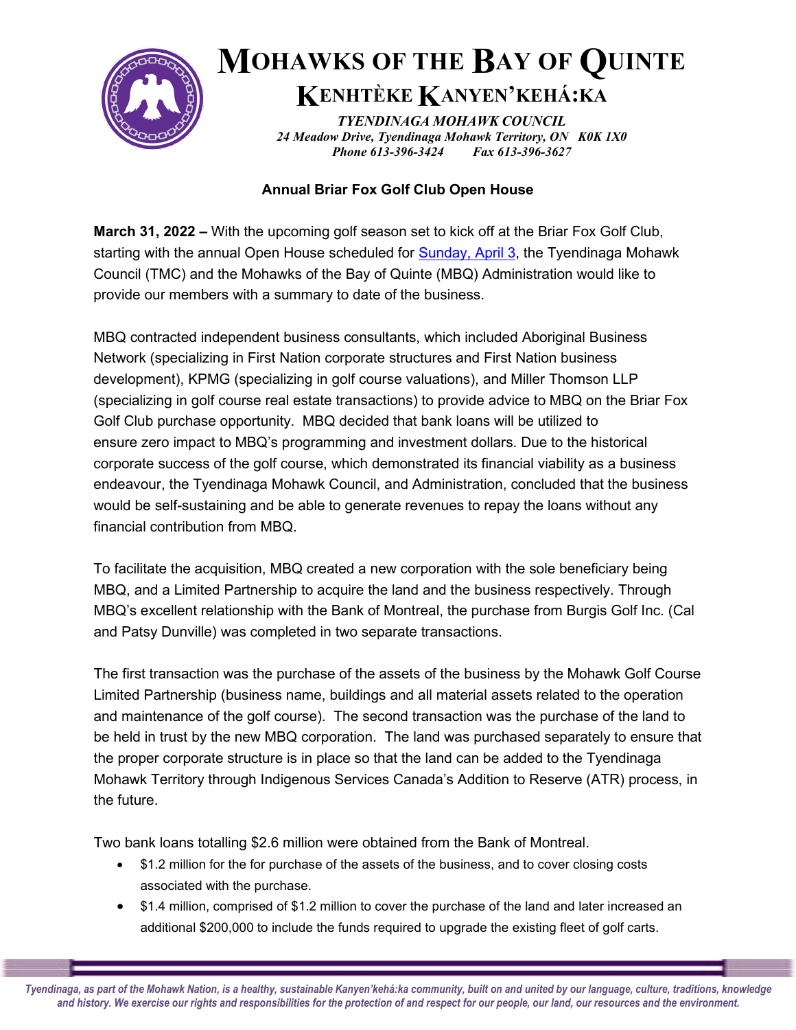

## **MOHAWKS OF THE BAY OF QUINTE KENHTÈKE KANYEN'KEHÁ:KA**

*TYENDINAGA MOHAWK COUNCIL 24 Meadow Drive, Tyendinaga Mohawk Territory, ON K0K 1X0 Phone 613-396-3424 Fax 613-396-3627*

## **Annual Briar Fox Golf Club Open House**

**March 31, 2022 –** With the upcoming golf season set to kick off at the Briar Fox Golf Club, starting with the annual Open House scheduled for [Sunday, April 3,](x-apple-data-detectors://2/) the Tyendinaga Mohawk Council (TMC) and the Mohawks of the Bay of Quinte (MBQ) Administration would like to provide our members with a summary to date of the business.

MBQ contracted independent business consultants, which included Aboriginal Business Network (specializing in First Nation corporate structures and First Nation business development), KPMG (specializing in golf course valuations), and Miller Thomson LLP (specializing in golf course real estate transactions) to provide advice to MBQ on the Briar Fox Golf Club purchase opportunity. MBQ decided that bank loans will be utilized to ensure zero impact to MBQ's programming and investment dollars. Due to the historical corporate success of the golf course, which demonstrated its financial viability as a business endeavour, the Tyendinaga Mohawk Council, and Administration, concluded that the business would be self-sustaining and be able to generate revenues to repay the loans without any financial contribution from MBQ.

To facilitate the acquisition, MBQ created a new corporation with the sole beneficiary being MBQ, and a Limited Partnership to acquire the land and the business respectively. Through MBQ's excellent relationship with the Bank of Montreal, the purchase from Burgis Golf Inc. (Cal and Patsy Dunville) was completed in two separate transactions.

The first transaction was the purchase of the assets of the business by the Mohawk Golf Course Limited Partnership (business name, buildings and all material assets related to the operation and maintenance of the golf course). The second transaction was the purchase of the land to be held in trust by the new MBQ corporation. The land was purchased separately to ensure that the proper corporate structure is in place so that the land can be added to the Tyendinaga Mohawk Territory through Indigenous Services Canada's Addition to Reserve (ATR) process, in the future.

Two bank loans totalling \$2.6 million were obtained from the Bank of Montreal.

- \$1.2 million for the for purchase of the assets of the business, and to cover closing costs associated with the purchase.
- \$1.4 million, comprised of \$1.2 million to cover the purchase of the land and later increased an additional \$200,000 to include the funds required to upgrade the existing fleet of golf carts.

*Tyendinaga, as part of the Mohawk Nation, is a healthy, sustainable Kanyen'kehá:ka community, built on and united by our language, culture, traditions, knowledge and history. We exercise our rights and responsibilities for the protection of and respect for our people, our land, our resources and the environment.*